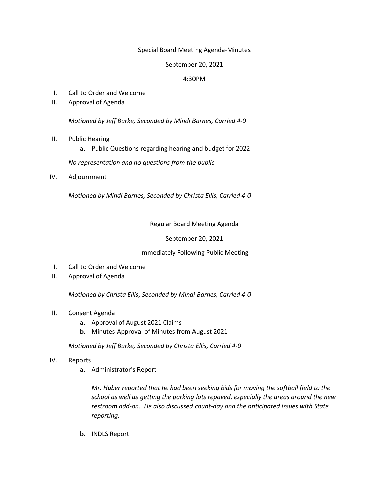# Special Board Meeting Agenda-Minutes

#### September 20, 2021

### 4:30PM

- I. Call to Order and Welcome
- II. Approval of Agenda

*Motioned by Jeff Burke, Seconded by Mindi Barnes, Carried 4-0*

- III. Public Hearing
	- a. Public Questions regarding hearing and budget for 2022

*No representation and no questions from the public*

IV. Adjournment

*Motioned by Mindi Barnes, Seconded by Christa Ellis, Carried 4-0*

Regular Board Meeting Agenda

September 20, 2021

Immediately Following Public Meeting

- I. Call to Order and Welcome
- II. Approval of Agenda

*Motioned by Christa Ellis, Seconded by Mindi Barnes, Carried 4-0*

# III. Consent Agenda

- a. Approval of August 2021 Claims
- b. Minutes-Approval of Minutes from August 2021

*Motioned by Jeff Burke, Seconded by Christa Ellis, Carried 4-0*

- IV. Reports
	- a. Administrator's Report

*Mr. Huber reported that he had been seeking bids for moving the softball field to the school as well as getting the parking lots repaved, especially the areas around the new restroom add-on. He also discussed count-day and the anticipated issues with State reporting.*

b. INDLS Report